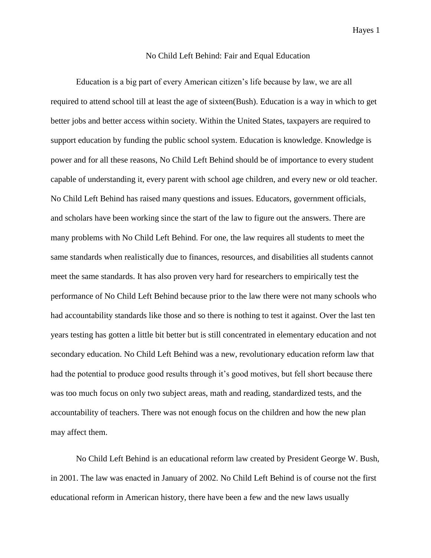## No Child Left Behind: Fair and Equal Education

Education is a big part of every American citizen's life because by law, we are all required to attend school till at least the age of sixteen(Bush). Education is a way in which to get better jobs and better access within society. Within the United States, taxpayers are required to support education by funding the public school system. Education is knowledge. Knowledge is power and for all these reasons, No Child Left Behind should be of importance to every student capable of understanding it, every parent with school age children, and every new or old teacher. No Child Left Behind has raised many questions and issues. Educators, government officials, and scholars have been working since the start of the law to figure out the answers. There are many problems with No Child Left Behind. For one, the law requires all students to meet the same standards when realistically due to finances, resources, and disabilities all students cannot meet the same standards. It has also proven very hard for researchers to empirically test the performance of No Child Left Behind because prior to the law there were not many schools who had accountability standards like those and so there is nothing to test it against. Over the last ten years testing has gotten a little bit better but is still concentrated in elementary education and not secondary education. No Child Left Behind was a new, revolutionary education reform law that had the potential to produce good results through it's good motives, but fell short because there was too much focus on only two subject areas, math and reading, standardized tests, and the accountability of teachers. There was not enough focus on the children and how the new plan may affect them.

No Child Left Behind is an educational reform law created by President George W. Bush, in 2001. The law was enacted in January of 2002. No Child Left Behind is of course not the first educational reform in American history, there have been a few and the new laws usually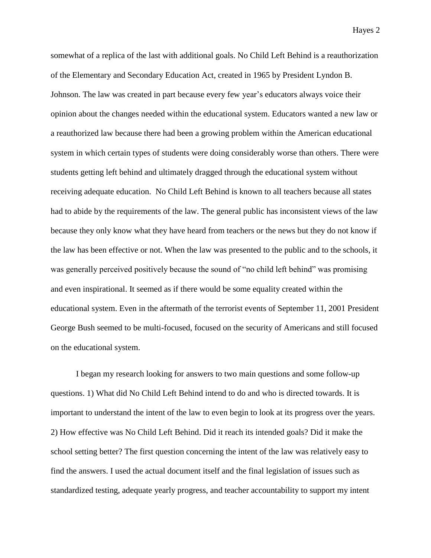somewhat of a replica of the last with additional goals. No Child Left Behind is a reauthorization of the Elementary and Secondary Education Act, created in 1965 by President Lyndon B. Johnson. The law was created in part because every few year's educators always voice their opinion about the changes needed within the educational system. Educators wanted a new law or a reauthorized law because there had been a growing problem within the American educational system in which certain types of students were doing considerably worse than others. There were students getting left behind and ultimately dragged through the educational system without receiving adequate education. No Child Left Behind is known to all teachers because all states had to abide by the requirements of the law. The general public has inconsistent views of the law because they only know what they have heard from teachers or the news but they do not know if the law has been effective or not. When the law was presented to the public and to the schools, it was generally perceived positively because the sound of "no child left behind" was promising and even inspirational. It seemed as if there would be some equality created within the educational system. Even in the aftermath of the terrorist events of September 11, 2001 President George Bush seemed to be multi-focused, focused on the security of Americans and still focused on the educational system.

I began my research looking for answers to two main questions and some follow-up questions. 1) What did No Child Left Behind intend to do and who is directed towards. It is important to understand the intent of the law to even begin to look at its progress over the years. 2) How effective was No Child Left Behind. Did it reach its intended goals? Did it make the school setting better? The first question concerning the intent of the law was relatively easy to find the answers. I used the actual document itself and the final legislation of issues such as standardized testing, adequate yearly progress, and teacher accountability to support my intent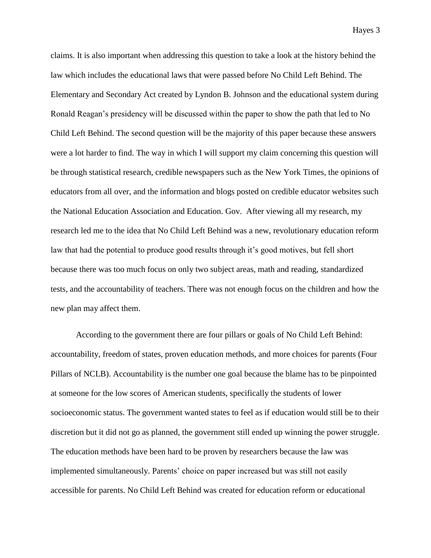claims. It is also important when addressing this question to take a look at the history behind the law which includes the educational laws that were passed before No Child Left Behind. The Elementary and Secondary Act created by Lyndon B. Johnson and the educational system during Ronald Reagan's presidency will be discussed within the paper to show the path that led to No Child Left Behind. The second question will be the majority of this paper because these answers were a lot harder to find. The way in which I will support my claim concerning this question will be through statistical research, credible newspapers such as the New York Times, the opinions of educators from all over, and the information and blogs posted on credible educator websites such the National Education Association and Education. Gov. After viewing all my research, my research led me to the idea that No Child Left Behind was a new, revolutionary education reform law that had the potential to produce good results through it's good motives, but fell short because there was too much focus on only two subject areas, math and reading, standardized tests, and the accountability of teachers. There was not enough focus on the children and how the new plan may affect them.

According to the government there are four pillars or goals of No Child Left Behind: accountability, freedom of states, proven education methods, and more choices for parents (Four Pillars of NCLB). Accountability is the number one goal because the blame has to be pinpointed at someone for the low scores of American students, specifically the students of lower socioeconomic status. The government wanted states to feel as if education would still be to their discretion but it did not go as planned, the government still ended up winning the power struggle. The education methods have been hard to be proven by researchers because the law was implemented simultaneously. Parents' choice on paper increased but was still not easily accessible for parents. No Child Left Behind was created for education reform or educational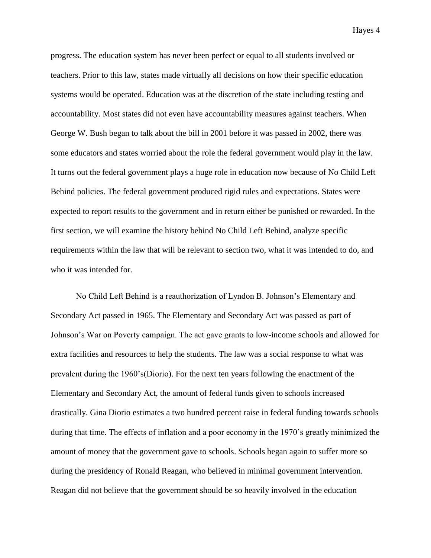progress. The education system has never been perfect or equal to all students involved or teachers. Prior to this law, states made virtually all decisions on how their specific education systems would be operated. Education was at the discretion of the state including testing and accountability. Most states did not even have accountability measures against teachers. When George W. Bush began to talk about the bill in 2001 before it was passed in 2002, there was some educators and states worried about the role the federal government would play in the law. It turns out the federal government plays a huge role in education now because of No Child Left Behind policies. The federal government produced rigid rules and expectations. States were expected to report results to the government and in return either be punished or rewarded. In the first section, we will examine the history behind No Child Left Behind, analyze specific requirements within the law that will be relevant to section two, what it was intended to do, and who it was intended for.

No Child Left Behind is a reauthorization of Lyndon B. Johnson's Elementary and Secondary Act passed in 1965. The Elementary and Secondary Act was passed as part of Johnson's War on Poverty campaign. The act gave grants to low-income schools and allowed for extra facilities and resources to help the students. The law was a social response to what was prevalent during the 1960's(Diorio). For the next ten years following the enactment of the Elementary and Secondary Act, the amount of federal funds given to schools increased drastically. Gina Diorio estimates a two hundred percent raise in federal funding towards schools during that time. The effects of inflation and a poor economy in the 1970's greatly minimized the amount of money that the government gave to schools. Schools began again to suffer more so during the presidency of Ronald Reagan, who believed in minimal government intervention. Reagan did not believe that the government should be so heavily involved in the education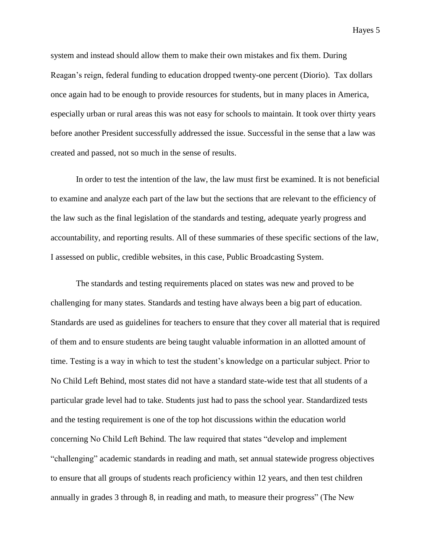system and instead should allow them to make their own mistakes and fix them. During Reagan's reign, federal funding to education dropped twenty-one percent (Diorio). Tax dollars once again had to be enough to provide resources for students, but in many places in America, especially urban or rural areas this was not easy for schools to maintain. It took over thirty years before another President successfully addressed the issue. Successful in the sense that a law was created and passed, not so much in the sense of results.

In order to test the intention of the law, the law must first be examined. It is not beneficial to examine and analyze each part of the law but the sections that are relevant to the efficiency of the law such as the final legislation of the standards and testing, adequate yearly progress and accountability, and reporting results. All of these summaries of these specific sections of the law, I assessed on public, credible websites, in this case, Public Broadcasting System.

The standards and testing requirements placed on states was new and proved to be challenging for many states. Standards and testing have always been a big part of education. Standards are used as guidelines for teachers to ensure that they cover all material that is required of them and to ensure students are being taught valuable information in an allotted amount of time. Testing is a way in which to test the student's knowledge on a particular subject. Prior to No Child Left Behind, most states did not have a standard state-wide test that all students of a particular grade level had to take. Students just had to pass the school year. Standardized tests and the testing requirement is one of the top hot discussions within the education world concerning No Child Left Behind. The law required that states "develop and implement "challenging" academic standards in reading and math, set annual statewide progress objectives to ensure that all groups of students reach proficiency within 12 years, and then test children annually in grades 3 through 8, in reading and math, to measure their progress" (The New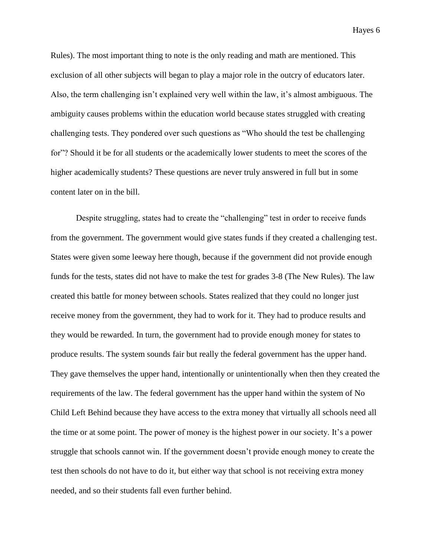Rules). The most important thing to note is the only reading and math are mentioned. This exclusion of all other subjects will began to play a major role in the outcry of educators later. Also, the term challenging isn't explained very well within the law, it's almost ambiguous. The ambiguity causes problems within the education world because states struggled with creating challenging tests. They pondered over such questions as "Who should the test be challenging for"? Should it be for all students or the academically lower students to meet the scores of the higher academically students? These questions are never truly answered in full but in some content later on in the bill.

Despite struggling, states had to create the "challenging" test in order to receive funds from the government. The government would give states funds if they created a challenging test. States were given some leeway here though, because if the government did not provide enough funds for the tests, states did not have to make the test for grades 3-8 (The New Rules). The law created this battle for money between schools. States realized that they could no longer just receive money from the government, they had to work for it. They had to produce results and they would be rewarded. In turn, the government had to provide enough money for states to produce results. The system sounds fair but really the federal government has the upper hand. They gave themselves the upper hand, intentionally or unintentionally when then they created the requirements of the law. The federal government has the upper hand within the system of No Child Left Behind because they have access to the extra money that virtually all schools need all the time or at some point. The power of money is the highest power in our society. It's a power struggle that schools cannot win. If the government doesn't provide enough money to create the test then schools do not have to do it, but either way that school is not receiving extra money needed, and so their students fall even further behind.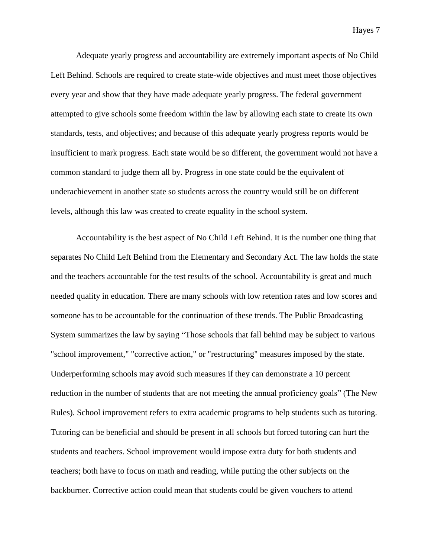Adequate yearly progress and accountability are extremely important aspects of No Child Left Behind. Schools are required to create state-wide objectives and must meet those objectives every year and show that they have made adequate yearly progress. The federal government attempted to give schools some freedom within the law by allowing each state to create its own standards, tests, and objectives; and because of this adequate yearly progress reports would be insufficient to mark progress. Each state would be so different, the government would not have a common standard to judge them all by. Progress in one state could be the equivalent of underachievement in another state so students across the country would still be on different levels, although this law was created to create equality in the school system.

Accountability is the best aspect of No Child Left Behind. It is the number one thing that separates No Child Left Behind from the Elementary and Secondary Act. The law holds the state and the teachers accountable for the test results of the school. Accountability is great and much needed quality in education. There are many schools with low retention rates and low scores and someone has to be accountable for the continuation of these trends. The Public Broadcasting System summarizes the law by saying "Those schools that fall behind may be subject to various "school improvement," "corrective action," or "restructuring" measures imposed by the state. Underperforming schools may avoid such measures if they can demonstrate a 10 percent reduction in the number of students that are not meeting the annual proficiency goals" (The New Rules). School improvement refers to extra academic programs to help students such as tutoring. Tutoring can be beneficial and should be present in all schools but forced tutoring can hurt the students and teachers. School improvement would impose extra duty for both students and teachers; both have to focus on math and reading, while putting the other subjects on the backburner. Corrective action could mean that students could be given vouchers to attend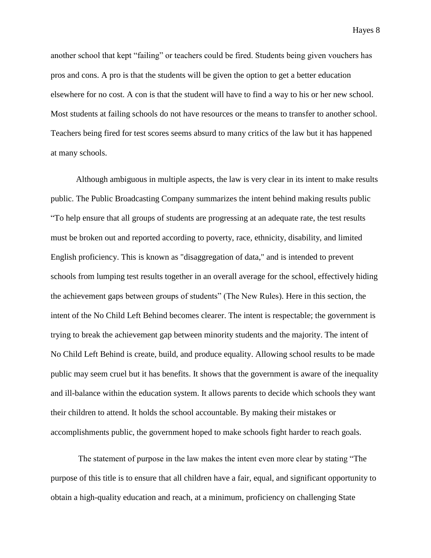another school that kept "failing" or teachers could be fired. Students being given vouchers has pros and cons. A pro is that the students will be given the option to get a better education elsewhere for no cost. A con is that the student will have to find a way to his or her new school. Most students at failing schools do not have resources or the means to transfer to another school. Teachers being fired for test scores seems absurd to many critics of the law but it has happened at many schools.

Although ambiguous in multiple aspects, the law is very clear in its intent to make results public. The Public Broadcasting Company summarizes the intent behind making results public "To help ensure that all groups of students are progressing at an adequate rate, the test results must be broken out and reported according to poverty, race, ethnicity, disability, and limited English proficiency. This is known as "disaggregation of data," and is intended to prevent schools from lumping test results together in an overall average for the school, effectively hiding the achievement gaps between groups of students" (The New Rules). Here in this section, the intent of the No Child Left Behind becomes clearer. The intent is respectable; the government is trying to break the achievement gap between minority students and the majority. The intent of No Child Left Behind is create, build, and produce equality. Allowing school results to be made public may seem cruel but it has benefits. It shows that the government is aware of the inequality and ill-balance within the education system. It allows parents to decide which schools they want their children to attend. It holds the school accountable. By making their mistakes or accomplishments public, the government hoped to make schools fight harder to reach goals.

The statement of purpose in the law makes the intent even more clear by stating "The purpose of this title is to ensure that all children have a fair, equal, and significant opportunity to obtain a high-quality education and reach, at a minimum, proficiency on challenging State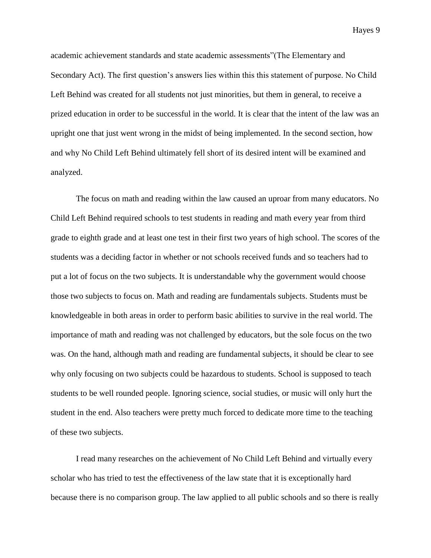academic achievement standards and state academic assessments"(The Elementary and Secondary Act). The first question's answers lies within this this statement of purpose. No Child Left Behind was created for all students not just minorities, but them in general, to receive a prized education in order to be successful in the world. It is clear that the intent of the law was an upright one that just went wrong in the midst of being implemented. In the second section, how and why No Child Left Behind ultimately fell short of its desired intent will be examined and analyzed.

The focus on math and reading within the law caused an uproar from many educators. No Child Left Behind required schools to test students in reading and math every year from third grade to eighth grade and at least one test in their first two years of high school. The scores of the students was a deciding factor in whether or not schools received funds and so teachers had to put a lot of focus on the two subjects. It is understandable why the government would choose those two subjects to focus on. Math and reading are fundamentals subjects. Students must be knowledgeable in both areas in order to perform basic abilities to survive in the real world. The importance of math and reading was not challenged by educators, but the sole focus on the two was. On the hand, although math and reading are fundamental subjects, it should be clear to see why only focusing on two subjects could be hazardous to students. School is supposed to teach students to be well rounded people. Ignoring science, social studies, or music will only hurt the student in the end. Also teachers were pretty much forced to dedicate more time to the teaching of these two subjects.

I read many researches on the achievement of No Child Left Behind and virtually every scholar who has tried to test the effectiveness of the law state that it is exceptionally hard because there is no comparison group. The law applied to all public schools and so there is really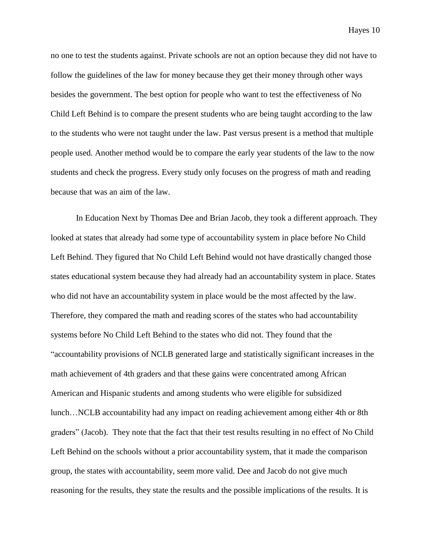no one to test the students against. Private schools are not an option because they did not have to follow the guidelines of the law for money because they get their money through other ways besides the government. The best option for people who want to test the effectiveness of No Child Left Behind is to compare the present students who are being taught according to the law to the students who were not taught under the law. Past versus present is a method that multiple people used. Another method would be to compare the early year students of the law to the now students and check the progress. Every study only focuses on the progress of math and reading because that was an aim of the law.

In Education Next by Thomas Dee and Brian Jacob, they took a different approach. They looked at states that already had some type of accountability system in place before No Child Left Behind. They figured that No Child Left Behind would not have drastically changed those states educational system because they had already had an accountability system in place. States who did not have an accountability system in place would be the most affected by the law. Therefore, they compared the math and reading scores of the states who had accountability systems before No Child Left Behind to the states who did not. They found that the "accountability provisions of NCLB generated large and statistically significant increases in the math achievement of 4th graders and that these gains were concentrated among African American and Hispanic students and among students who were eligible for subsidized lunch…NCLB accountability had any impact on reading achievement among either 4th or 8th graders" (Jacob). They note that the fact that their test results resulting in no effect of No Child Left Behind on the schools without a prior accountability system, that it made the comparison group, the states with accountability, seem more valid. Dee and Jacob do not give much reasoning for the results, they state the results and the possible implications of the results. It is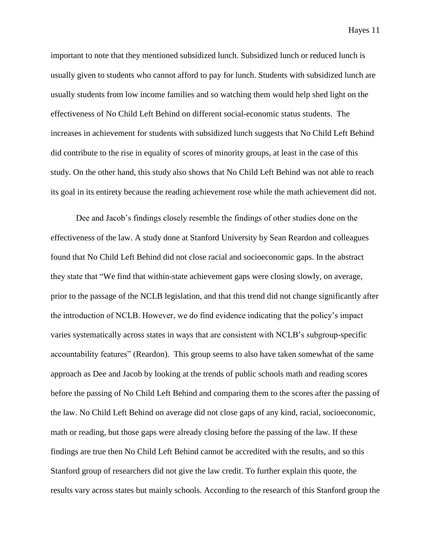important to note that they mentioned subsidized lunch. Subsidized lunch or reduced lunch is usually given to students who cannot afford to pay for lunch. Students with subsidized lunch are usually students from low income families and so watching them would help shed light on the effectiveness of No Child Left Behind on different social-economic status students. The increases in achievement for students with subsidized lunch suggests that No Child Left Behind did contribute to the rise in equality of scores of minority groups, at least in the case of this study. On the other hand, this study also shows that No Child Left Behind was not able to reach its goal in its entirety because the reading achievement rose while the math achievement did not.

Dee and Jacob's findings closely resemble the findings of other studies done on the effectiveness of the law. A study done at Stanford University by Sean Reardon and colleagues found that No Child Left Behind did not close racial and socioeconomic gaps. In the abstract they state that "We find that within-state achievement gaps were closing slowly, on average, prior to the passage of the NCLB legislation, and that this trend did not change significantly after the introduction of NCLB. However, we do find evidence indicating that the policy's impact varies systematically across states in ways that are consistent with NCLB's subgroup-specific accountability features" (Reardon). This group seems to also have taken somewhat of the same approach as Dee and Jacob by looking at the trends of public schools math and reading scores before the passing of No Child Left Behind and comparing them to the scores after the passing of the law. No Child Left Behind on average did not close gaps of any kind, racial, socioeconomic, math or reading, but those gaps were already closing before the passing of the law. If these findings are true then No Child Left Behind cannot be accredited with the results, and so this Stanford group of researchers did not give the law credit. To further explain this quote, the results vary across states but mainly schools. According to the research of this Stanford group the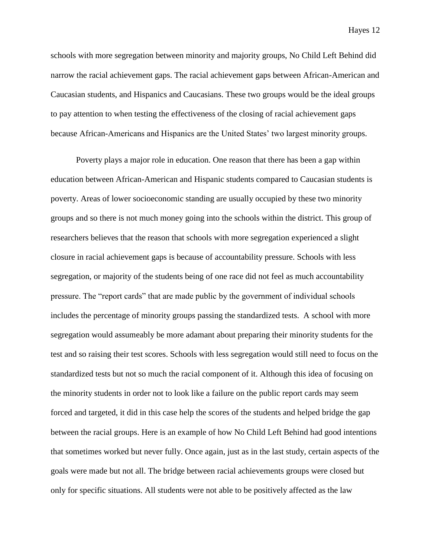schools with more segregation between minority and majority groups, No Child Left Behind did narrow the racial achievement gaps. The racial achievement gaps between African-American and Caucasian students, and Hispanics and Caucasians. These two groups would be the ideal groups to pay attention to when testing the effectiveness of the closing of racial achievement gaps because African-Americans and Hispanics are the United States' two largest minority groups.

Poverty plays a major role in education. One reason that there has been a gap within education between African-American and Hispanic students compared to Caucasian students is poverty. Areas of lower socioeconomic standing are usually occupied by these two minority groups and so there is not much money going into the schools within the district. This group of researchers believes that the reason that schools with more segregation experienced a slight closure in racial achievement gaps is because of accountability pressure. Schools with less segregation, or majority of the students being of one race did not feel as much accountability pressure. The "report cards" that are made public by the government of individual schools includes the percentage of minority groups passing the standardized tests. A school with more segregation would assumeably be more adamant about preparing their minority students for the test and so raising their test scores. Schools with less segregation would still need to focus on the standardized tests but not so much the racial component of it. Although this idea of focusing on the minority students in order not to look like a failure on the public report cards may seem forced and targeted, it did in this case help the scores of the students and helped bridge the gap between the racial groups. Here is an example of how No Child Left Behind had good intentions that sometimes worked but never fully. Once again, just as in the last study, certain aspects of the goals were made but not all. The bridge between racial achievements groups were closed but only for specific situations. All students were not able to be positively affected as the law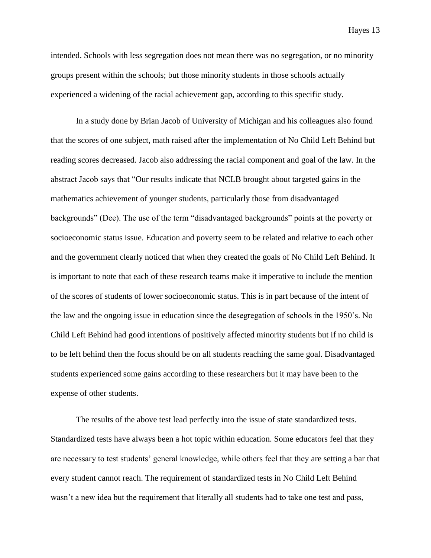intended. Schools with less segregation does not mean there was no segregation, or no minority groups present within the schools; but those minority students in those schools actually experienced a widening of the racial achievement gap, according to this specific study.

In a study done by Brian Jacob of University of Michigan and his colleagues also found that the scores of one subject, math raised after the implementation of No Child Left Behind but reading scores decreased. Jacob also addressing the racial component and goal of the law. In the abstract Jacob says that "Our results indicate that NCLB brought about targeted gains in the mathematics achievement of younger students, particularly those from disadvantaged backgrounds" (Dee). The use of the term "disadvantaged backgrounds" points at the poverty or socioeconomic status issue. Education and poverty seem to be related and relative to each other and the government clearly noticed that when they created the goals of No Child Left Behind. It is important to note that each of these research teams make it imperative to include the mention of the scores of students of lower socioeconomic status. This is in part because of the intent of the law and the ongoing issue in education since the desegregation of schools in the 1950's. No Child Left Behind had good intentions of positively affected minority students but if no child is to be left behind then the focus should be on all students reaching the same goal. Disadvantaged students experienced some gains according to these researchers but it may have been to the expense of other students.

The results of the above test lead perfectly into the issue of state standardized tests. Standardized tests have always been a hot topic within education. Some educators feel that they are necessary to test students' general knowledge, while others feel that they are setting a bar that every student cannot reach. The requirement of standardized tests in No Child Left Behind wasn't a new idea but the requirement that literally all students had to take one test and pass,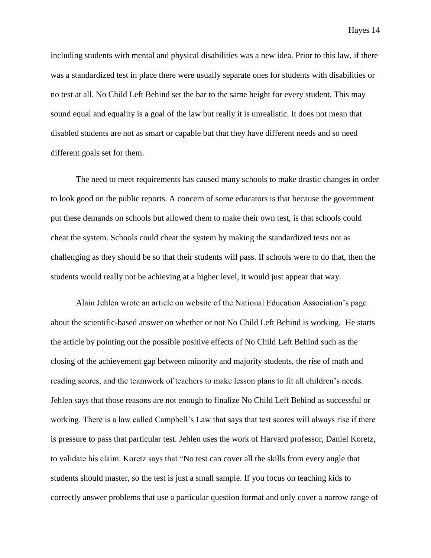including students with mental and physical disabilities was a new idea. Prior to this law, if there was a standardized test in place there were usually separate ones for students with disabilities or no test at all. No Child Left Behind set the bar to the same height for every student. This may sound equal and equality is a goal of the law but really it is unrealistic. It does not mean that disabled students are not as smart or capable but that they have different needs and so need different goals set for them.

The need to meet requirements has caused many schools to make drastic changes in order to look good on the public reports. A concern of some educators is that because the government put these demands on schools but allowed them to make their own test, is that schools could cheat the system. Schools could cheat the system by making the standardized tests not as challenging as they should be so that their students will pass. If schools were to do that, then the students would really not be achieving at a higher level, it would just appear that way.

Alain Jehlen wrote an article on website of the National Education Association's page about the scientific-based answer on whether or not No Child Left Behind is working. He starts the article by pointing out the possible positive effects of No Child Left Behind such as the closing of the achievement gap between minority and majority students, the rise of math and reading scores, and the teamwork of teachers to make lesson plans to fit all children's needs. Jehlen says that those reasons are not enough to finalize No Child Left Behind as successful or working. There is a law called Campbell's Law that says that test scores will always rise if there is pressure to pass that particular test. Jehlen uses the work of Harvard professor, Daniel Koretz, to validate his claim. Koretz says that "No test can cover all the skills from every angle that students should master, so the test is just a small sample. If you focus on teaching kids to correctly answer problems that use a particular question format and only cover a narrow range of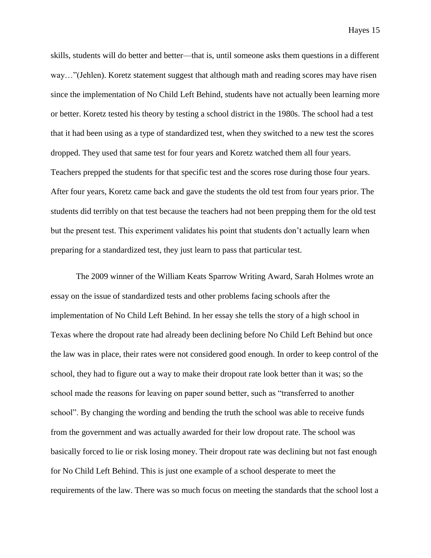skills, students will do better and better—that is, until someone asks them questions in a different way…"(Jehlen). Koretz statement suggest that although math and reading scores may have risen since the implementation of No Child Left Behind, students have not actually been learning more or better. Koretz tested his theory by testing a school district in the 1980s. The school had a test that it had been using as a type of standardized test, when they switched to a new test the scores dropped. They used that same test for four years and Koretz watched them all four years. Teachers prepped the students for that specific test and the scores rose during those four years. After four years, Koretz came back and gave the students the old test from four years prior. The students did terribly on that test because the teachers had not been prepping them for the old test but the present test. This experiment validates his point that students don't actually learn when preparing for a standardized test, they just learn to pass that particular test.

The 2009 winner of the William Keats Sparrow Writing Award, Sarah Holmes wrote an essay on the issue of standardized tests and other problems facing schools after the implementation of No Child Left Behind. In her essay she tells the story of a high school in Texas where the dropout rate had already been declining before No Child Left Behind but once the law was in place, their rates were not considered good enough. In order to keep control of the school, they had to figure out a way to make their dropout rate look better than it was; so the school made the reasons for leaving on paper sound better, such as "transferred to another school". By changing the wording and bending the truth the school was able to receive funds from the government and was actually awarded for their low dropout rate. The school was basically forced to lie or risk losing money. Their dropout rate was declining but not fast enough for No Child Left Behind. This is just one example of a school desperate to meet the requirements of the law. There was so much focus on meeting the standards that the school lost a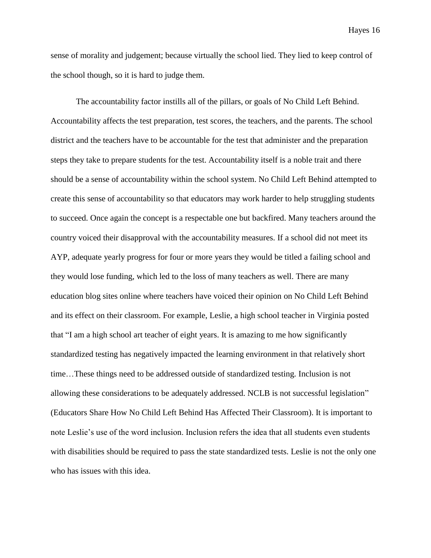sense of morality and judgement; because virtually the school lied. They lied to keep control of the school though, so it is hard to judge them.

The accountability factor instills all of the pillars, or goals of No Child Left Behind. Accountability affects the test preparation, test scores, the teachers, and the parents. The school district and the teachers have to be accountable for the test that administer and the preparation steps they take to prepare students for the test. Accountability itself is a noble trait and there should be a sense of accountability within the school system. No Child Left Behind attempted to create this sense of accountability so that educators may work harder to help struggling students to succeed. Once again the concept is a respectable one but backfired. Many teachers around the country voiced their disapproval with the accountability measures. If a school did not meet its AYP, adequate yearly progress for four or more years they would be titled a failing school and they would lose funding, which led to the loss of many teachers as well. There are many education blog sites online where teachers have voiced their opinion on No Child Left Behind and its effect on their classroom. For example, Leslie, a high school teacher in Virginia posted that "I am a high school art teacher of eight years. It is amazing to me how significantly standardized testing has negatively impacted the learning environment in that relatively short time…These things need to be addressed outside of standardized testing. Inclusion is not allowing these considerations to be adequately addressed. NCLB is not successful legislation" (Educators Share How No Child Left Behind Has Affected Their Classroom). It is important to note Leslie's use of the word inclusion. Inclusion refers the idea that all students even students with disabilities should be required to pass the state standardized tests. Leslie is not the only one who has issues with this idea.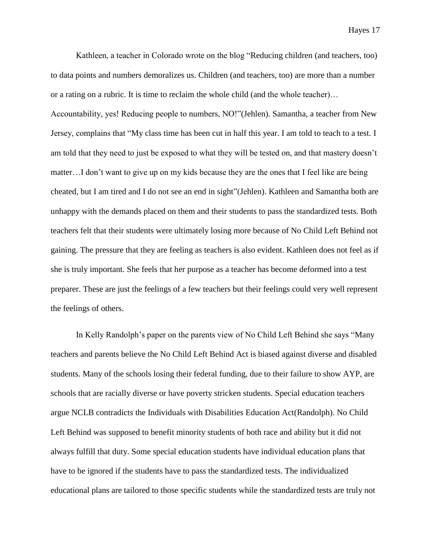Kathleen, a teacher in Colorado wrote on the blog "Reducing children (and teachers, too) to data points and numbers demoralizes us. Children (and teachers, too) are more than a number or a rating on a rubric. It is time to reclaim the whole child (and the whole teacher)… Accountability, yes! Reducing people to numbers, NO!"(Jehlen). Samantha, a teacher from New Jersey, complains that "My class time has been cut in half this year. I am told to teach to a test. I am told that they need to just be exposed to what they will be tested on, and that mastery doesn't matter…I don't want to give up on my kids because they are the ones that I feel like are being cheated, but I am tired and I do not see an end in sight"(Jehlen). Kathleen and Samantha both are unhappy with the demands placed on them and their students to pass the standardized tests. Both teachers felt that their students were ultimately losing more because of No Child Left Behind not gaining. The pressure that they are feeling as teachers is also evident. Kathleen does not feel as if she is truly important. She feels that her purpose as a teacher has become deformed into a test preparer. These are just the feelings of a few teachers but their feelings could very well represent the feelings of others.

In Kelly Randolph's paper on the parents view of No Child Left Behind she says "Many teachers and parents believe the No Child Left Behind Act is biased against diverse and disabled students. Many of the schools losing their federal funding, due to their failure to show AYP, are schools that are racially diverse or have poverty stricken students. Special education teachers argue NCLB contradicts the Individuals with Disabilities Education Act(Randolph). No Child Left Behind was supposed to benefit minority students of both race and ability but it did not always fulfill that duty. Some special education students have individual education plans that have to be ignored if the students have to pass the standardized tests. The individualized educational plans are tailored to those specific students while the standardized tests are truly not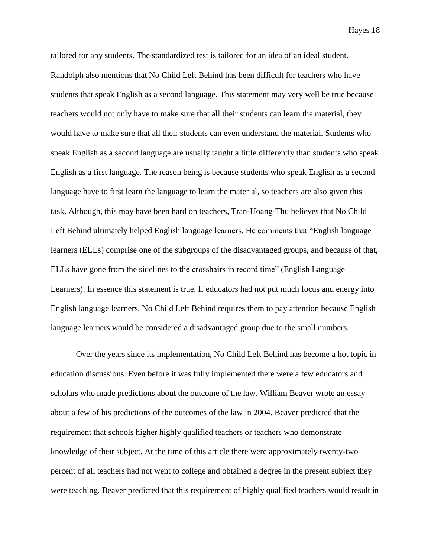tailored for any students. The standardized test is tailored for an idea of an ideal student. Randolph also mentions that No Child Left Behind has been difficult for teachers who have students that speak English as a second language. This statement may very well be true because teachers would not only have to make sure that all their students can learn the material, they would have to make sure that all their students can even understand the material. Students who speak English as a second language are usually taught a little differently than students who speak English as a first language. The reason being is because students who speak English as a second language have to first learn the language to learn the material, so teachers are also given this task. Although, this may have been hard on teachers, Tran-Hoang-Thu believes that No Child Left Behind ultimately helped English language learners. He comments that "English language learners (ELLs) comprise one of the subgroups of the disadvantaged groups, and because of that, ELLs have gone from the sidelines to the crosshairs in record time" (English Language Learners). In essence this statement is true. If educators had not put much focus and energy into English language learners, No Child Left Behind requires them to pay attention because English language learners would be considered a disadvantaged group due to the small numbers.

Over the years since its implementation, No Child Left Behind has become a hot topic in education discussions. Even before it was fully implemented there were a few educators and scholars who made predictions about the outcome of the law. William Beaver wrote an essay about a few of his predictions of the outcomes of the law in 2004. Beaver predicted that the requirement that schools higher highly qualified teachers or teachers who demonstrate knowledge of their subject. At the time of this article there were approximately twenty-two percent of all teachers had not went to college and obtained a degree in the present subject they were teaching. Beaver predicted that this requirement of highly qualified teachers would result in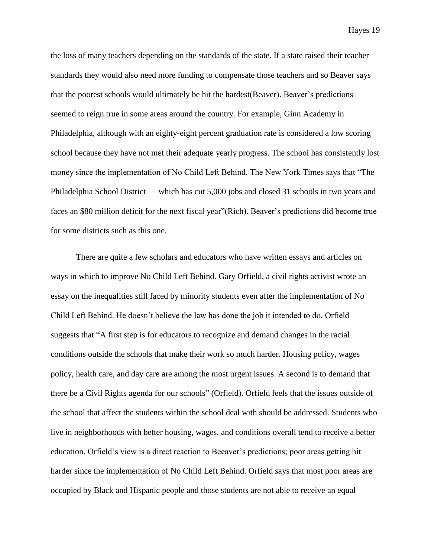the loss of many teachers depending on the standards of the state. If a state raised their teacher standards they would also need more funding to compensate those teachers and so Beaver says that the poorest schools would ultimately be hit the hardest(Beaver). Beaver's predictions seemed to reign true in some areas around the country. For example, Ginn Academy in Philadelphia, although with an eighty-eight percent graduation rate is considered a low scoring school because they have not met their adequate yearly progress. The school has consistently lost money since the implementation of No Child Left Behind. The New York Times says that "The Philadelphia School District — which has cut 5,000 jobs and closed 31 schools in two years and faces an \$80 million deficit for the next fiscal year"(Rich). Beaver's predictions did become true for some districts such as this one.

There are quite a few scholars and educators who have written essays and articles on ways in which to improve No Child Left Behind. Gary Orfield, a civil rights activist wrote an essay on the inequalities still faced by minority students even after the implementation of No Child Left Behind. He doesn't believe the law has done the job it intended to do. Orfield suggests that "A first step is for educators to recognize and demand changes in the racial conditions outside the schools that make their work so much harder. Housing policy, wages policy, health care, and day care are among the most urgent issues. A second is to demand that there be a Civil Rights agenda for our schools" (Orfield). Orfield feels that the issues outside of the school that affect the students within the school deal with should be addressed. Students who live in neighborhoods with better housing, wages, and conditions overall tend to receive a better education. Orfield's view is a direct reaction to Beeaver's predictions; poor areas getting hit harder since the implementation of No Child Left Behind. Orfield says that most poor areas are occupied by Black and Hispanic people and those students are not able to receive an equal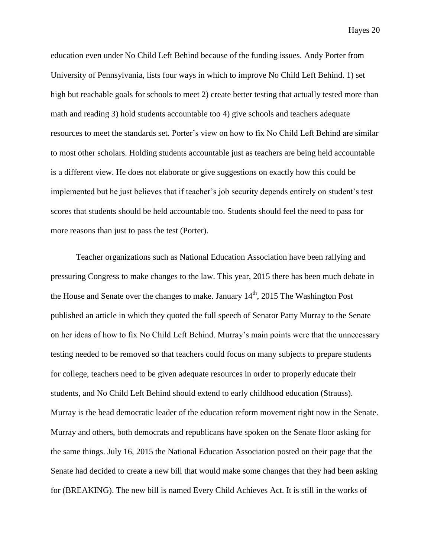education even under No Child Left Behind because of the funding issues. Andy Porter from University of Pennsylvania, lists four ways in which to improve No Child Left Behind. 1) set high but reachable goals for schools to meet 2) create better testing that actually tested more than math and reading 3) hold students accountable too 4) give schools and teachers adequate resources to meet the standards set. Porter's view on how to fix No Child Left Behind are similar to most other scholars. Holding students accountable just as teachers are being held accountable is a different view. He does not elaborate or give suggestions on exactly how this could be implemented but he just believes that if teacher's job security depends entirely on student's test scores that students should be held accountable too. Students should feel the need to pass for more reasons than just to pass the test (Porter).

Teacher organizations such as National Education Association have been rallying and pressuring Congress to make changes to the law. This year, 2015 there has been much debate in the House and Senate over the changes to make. January  $14<sup>th</sup>$ , 2015 The Washington Post published an article in which they quoted the full speech of Senator Patty Murray to the Senate on her ideas of how to fix No Child Left Behind. Murray's main points were that the unnecessary testing needed to be removed so that teachers could focus on many subjects to prepare students for college, teachers need to be given adequate resources in order to properly educate their students, and No Child Left Behind should extend to early childhood education (Strauss). Murray is the head democratic leader of the education reform movement right now in the Senate. Murray and others, both democrats and republicans have spoken on the Senate floor asking for the same things. July 16, 2015 the National Education Association posted on their page that the Senate had decided to create a new bill that would make some changes that they had been asking for (BREAKING). The new bill is named Every Child Achieves Act. It is still in the works of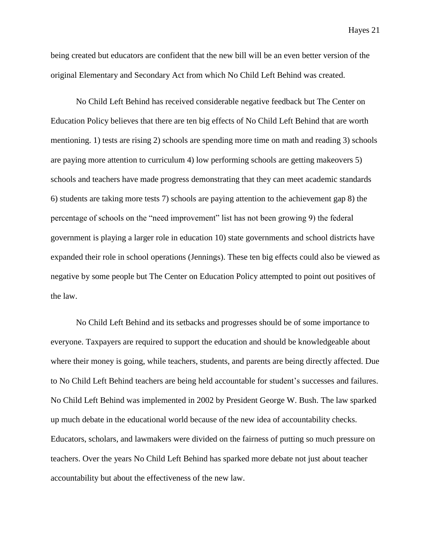being created but educators are confident that the new bill will be an even better version of the original Elementary and Secondary Act from which No Child Left Behind was created.

No Child Left Behind has received considerable negative feedback but The Center on Education Policy believes that there are ten big effects of No Child Left Behind that are worth mentioning. 1) tests are rising 2) schools are spending more time on math and reading 3) schools are paying more attention to curriculum 4) low performing schools are getting makeovers 5) schools and teachers have made progress demonstrating that they can meet academic standards 6) students are taking more tests 7) schools are paying attention to the achievement gap 8) the percentage of schools on the "need improvement" list has not been growing 9) the federal government is playing a larger role in education 10) state governments and school districts have expanded their role in school operations (Jennings). These ten big effects could also be viewed as negative by some people but The Center on Education Policy attempted to point out positives of the law.

No Child Left Behind and its setbacks and progresses should be of some importance to everyone. Taxpayers are required to support the education and should be knowledgeable about where their money is going, while teachers, students, and parents are being directly affected. Due to No Child Left Behind teachers are being held accountable for student's successes and failures. No Child Left Behind was implemented in 2002 by President George W. Bush. The law sparked up much debate in the educational world because of the new idea of accountability checks. Educators, scholars, and lawmakers were divided on the fairness of putting so much pressure on teachers. Over the years No Child Left Behind has sparked more debate not just about teacher accountability but about the effectiveness of the new law.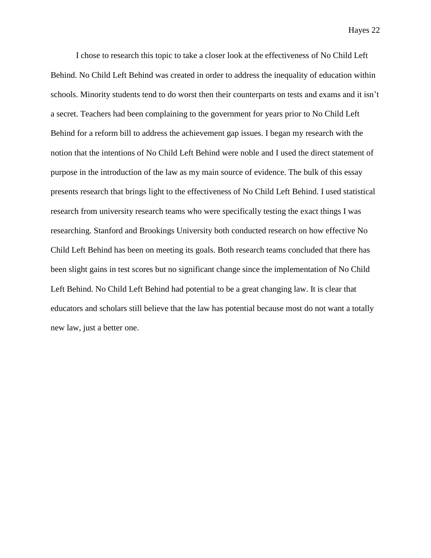I chose to research this topic to take a closer look at the effectiveness of No Child Left Behind. No Child Left Behind was created in order to address the inequality of education within schools. Minority students tend to do worst then their counterparts on tests and exams and it isn't a secret. Teachers had been complaining to the government for years prior to No Child Left Behind for a reform bill to address the achievement gap issues. I began my research with the notion that the intentions of No Child Left Behind were noble and I used the direct statement of purpose in the introduction of the law as my main source of evidence. The bulk of this essay presents research that brings light to the effectiveness of No Child Left Behind. I used statistical research from university research teams who were specifically testing the exact things I was researching. Stanford and Brookings University both conducted research on how effective No Child Left Behind has been on meeting its goals. Both research teams concluded that there has been slight gains in test scores but no significant change since the implementation of No Child Left Behind. No Child Left Behind had potential to be a great changing law. It is clear that educators and scholars still believe that the law has potential because most do not want a totally new law, just a better one.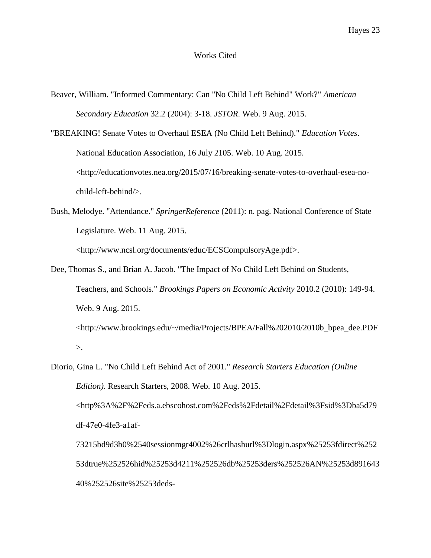## Works Cited

- Beaver, William. "Informed Commentary: Can "No Child Left Behind" Work?" *American Secondary Education* 32.2 (2004): 3-18. *JSTOR*. Web. 9 Aug. 2015.
- "BREAKING! Senate Votes to Overhaul ESEA (No Child Left Behind)." *Education Votes*. National Education Association, 16 July 2105. Web. 10 Aug. 2015. <http://educationvotes.nea.org/2015/07/16/breaking-senate-votes-to-overhaul-esea-nochild-left-behind/>.
- Bush, Melodye. "Attendance." *SpringerReference* (2011): n. pag. National Conference of State Legislature. Web. 11 Aug. 2015. <http://www.ncsl.org/documents/educ/ECSCompulsoryAge.pdf>.
- Dee, Thomas S., and Brian A. Jacob. "The Impact of No Child Left Behind on Students, Teachers, and Schools." *Brookings Papers on Economic Activity* 2010.2 (2010): 149-94. Web. 9 Aug. 2015. <http://www.brookings.edu/~/media/Projects/BPEA/Fall%202010/2010b\_bpea\_dee.PDF >.
- Diorio, Gina L. "No Child Left Behind Act of 2001." *Research Starters Education (Online Edition)*. Research Starters, 2008. Web. 10 Aug. 2015. <http%3A%2F%2Feds.a.ebscohost.com%2Feds%2Fdetail%2Fdetail%3Fsid%3Dba5d79 df-47e0-4fe3-a1af-73215bd9d3b0%2540sessionmgr4002%26crlhashurl%3Dlogin.aspx%25253fdirect%252 53dtrue%252526hid%25253d4211%252526db%25253ders%252526AN%25253d891643

40%252526site%25253deds-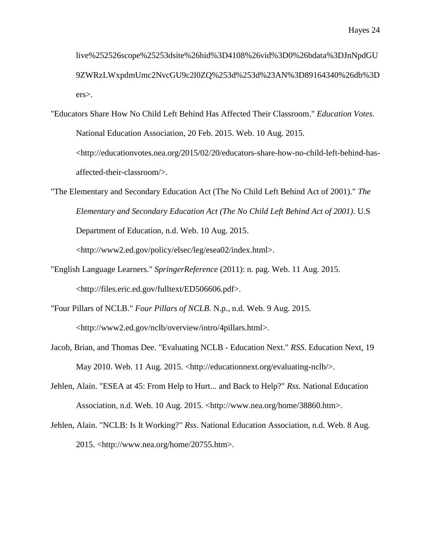live%252526scope%25253dsite%26hid%3D4108%26vid%3D0%26bdata%3DJnNpdGU 9ZWRzLWxpdmUmc2NvcGU9c2l0ZQ%253d%253d%23AN%3D89164340%26db%3D ers>.

"Educators Share How No Child Left Behind Has Affected Their Classroom." *Education Votes*. National Education Association, 20 Feb. 2015. Web. 10 Aug. 2015. <http://educationvotes.nea.org/2015/02/20/educators-share-how-no-child-left-behind-hasaffected-their-classroom/>.

"The Elementary and Secondary Education Act (The No Child Left Behind Act of 2001)." *The Elementary and Secondary Education Act (The No Child Left Behind Act of 2001)*. U.S Department of Education, n.d. Web. 10 Aug. 2015.

<http://www2.ed.gov/policy/elsec/leg/esea02/index.html>.

- "English Language Learners." *SpringerReference* (2011): n. pag. Web. 11 Aug. 2015. <http://files.eric.ed.gov/fulltext/ED506606.pdf>.
- "Four Pillars of NCLB." *Four Pillars of NCLB*. N.p., n.d. Web. 9 Aug. 2015. <http://www2.ed.gov/nclb/overview/intro/4pillars.html>.
- Jacob, Brian, and Thomas Dee. "Evaluating NCLB Education Next." *RSS*. Education Next, 19 May 2010. Web. 11 Aug. 2015. <http://educationnext.org/evaluating-nclb/>.
- Jehlen, Alain. "ESEA at 45: From Help to Hurt... and Back to Help?" *Rss*. National Education Association, n.d. Web. 10 Aug. 2015. <http://www.nea.org/home/38860.htm>.
- Jehlen, Alain. "NCLB: Is It Working?" *Rss*. National Education Association, n.d. Web. 8 Aug. 2015. <http://www.nea.org/home/20755.htm>.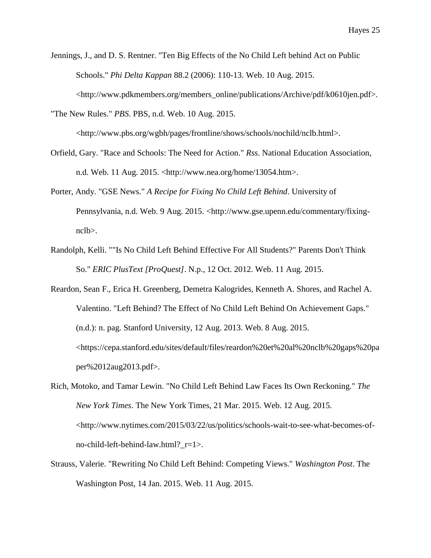Jennings, J., and D. S. Rentner. "Ten Big Effects of the No Child Left behind Act on Public Schools." *Phi Delta Kappan* 88.2 (2006): 110-13. Web. 10 Aug. 2015. <http://www.pdkmembers.org/members\_online/publications/Archive/pdf/k0610jen.pdf>.

"The New Rules." *PBS*. PBS, n.d. Web. 10 Aug. 2015. <http://www.pbs.org/wgbh/pages/frontline/shows/schools/nochild/nclb.html>.

- Orfield, Gary. "Race and Schools: The Need for Action." *Rss*. National Education Association, n.d. Web. 11 Aug. 2015. <http://www.nea.org/home/13054.htm>.
- Porter, Andy. "GSE News." *A Recipe for Fixing No Child Left Behind*. University of Pennsylvania, n.d. Web. 9 Aug. 2015. <http://www.gse.upenn.edu/commentary/fixingnclb>.
- Randolph, Kelli. ""Is No Child Left Behind Effective For All Students?" Parents Don't Think So." *ERIC PlusText [ProQuest]*. N.p., 12 Oct. 2012. Web. 11 Aug. 2015.
- Reardon, Sean F., Erica H. Greenberg, Demetra Kalogrides, Kenneth A. Shores, and Rachel A. Valentino. "Left Behind? The Effect of No Child Left Behind On Achievement Gaps." (n.d.): n. pag. Stanford University, 12 Aug. 2013. Web. 8 Aug. 2015. <https://cepa.stanford.edu/sites/default/files/reardon%20et%20al%20nclb%20gaps%20pa per%2012aug2013.pdf>.
- Rich, Motoko, and Tamar Lewin. "No Child Left Behind Law Faces Its Own Reckoning." *The New York Times*. The New York Times, 21 Mar. 2015. Web. 12 Aug. 2015. <http://www.nytimes.com/2015/03/22/us/politics/schools-wait-to-see-what-becomes-ofno-child-left-behind-law.html?\_r=1>.
- Strauss, Valerie. "Rewriting No Child Left Behind: Competing Views." *Washington Post*. The Washington Post, 14 Jan. 2015. Web. 11 Aug. 2015.